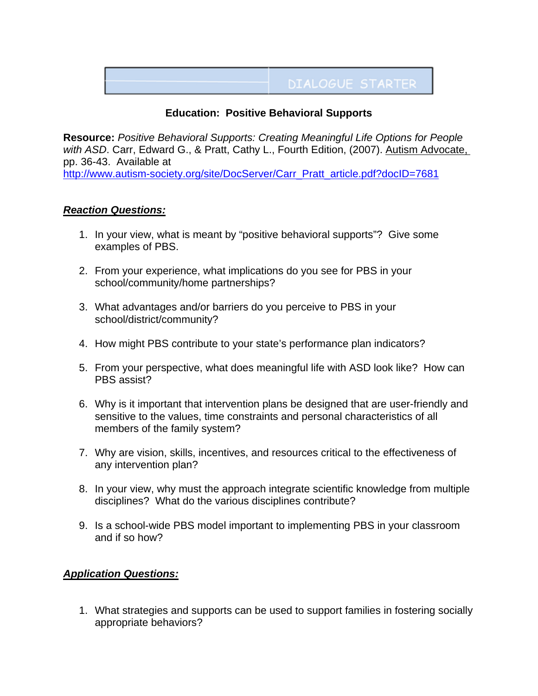## **DIALOGUE STARTER**

## **Education: Positive Behavioral Supports**

**Resource:** *Positive Behavioral Supports: Creating Meaningful Life Options for People with ASD*. Carr, Edward G., & Pratt, Cathy L., Fourth Edition, (2007). Autism Advocate, pp. 36-43. Available at [http://www.autism-society.org/site/DocServer/Carr\\_Pratt\\_article.pdf?docID=7681](http://www.autism-society.org/site/DocServer/Carr_Pratt_article.pdf?docID=7681)

## *Reaction Questions:*

- 1. In your view, what is meant by "positive behavioral supports"? Give some examples of PBS.
- 2. From your experience, what implications do you see for PBS in your school/community/home partnerships?
- 3. What advantages and/or barriers do you perceive to PBS in your school/district/community?
- 4. How might PBS contribute to your state's performance plan indicators?
- 5. From your perspective, what does meaningful life with ASD look like? How can PBS assist?
- 6. Why is it important that intervention plans be designed that are user-friendly and sensitive to the values, time constraints and personal characteristics of all members of the family system?
- 7. Why are vision, skills, incentives, and resources critical to the effectiveness of any intervention plan?
- 8. In your view, why must the approach integrate scientific knowledge from multiple disciplines? What do the various disciplines contribute?
- 9. Is a school-wide PBS model important to implementing PBS in your classroom and if so how?

## *Application Questions:*

1. What strategies and supports can be used to support families in fostering socially appropriate behaviors?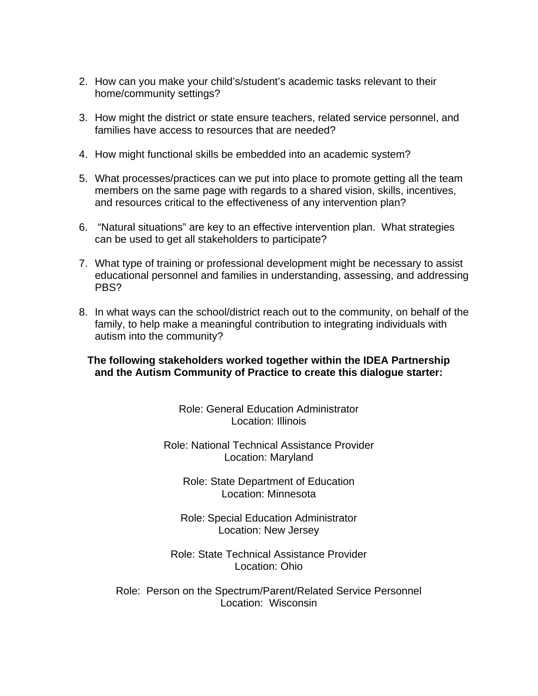- 2. How can you make your child's/student's academic tasks relevant to their home/community settings?
- 3. How might the district or state ensure teachers, related service personnel, and families have access to resources that are needed?
- 4. How might functional skills be embedded into an academic system?
- 5. What processes/practices can we put into place to promote getting all the team members on the same page with regards to a shared vision, skills, incentives, and resources critical to the effectiveness of any intervention plan?
- 6. "Natural situations" are key to an effective intervention plan. What strategies can be used to get all stakeholders to participate?
- 7. What type of training or professional development might be necessary to assist educational personnel and families in understanding, assessing, and addressing PBS?
- 8. In what ways can the school/district reach out to the community, on behalf of the family, to help make a meaningful contribution to integrating individuals with autism into the community?

**The following stakeholders worked together within the IDEA Partnership and the Autism Community of Practice to create this dialogue starter:** 

> Role: General Education Administrator Location: Illinois

Role: National Technical Assistance Provider Location: Maryland

Role: State Department of Education Location: Minnesota

Role: Special Education Administrator Location: New Jersey

Role: State Technical Assistance Provider Location: Ohio

Role: Person on the Spectrum/Parent/Related Service Personnel Location: Wisconsin